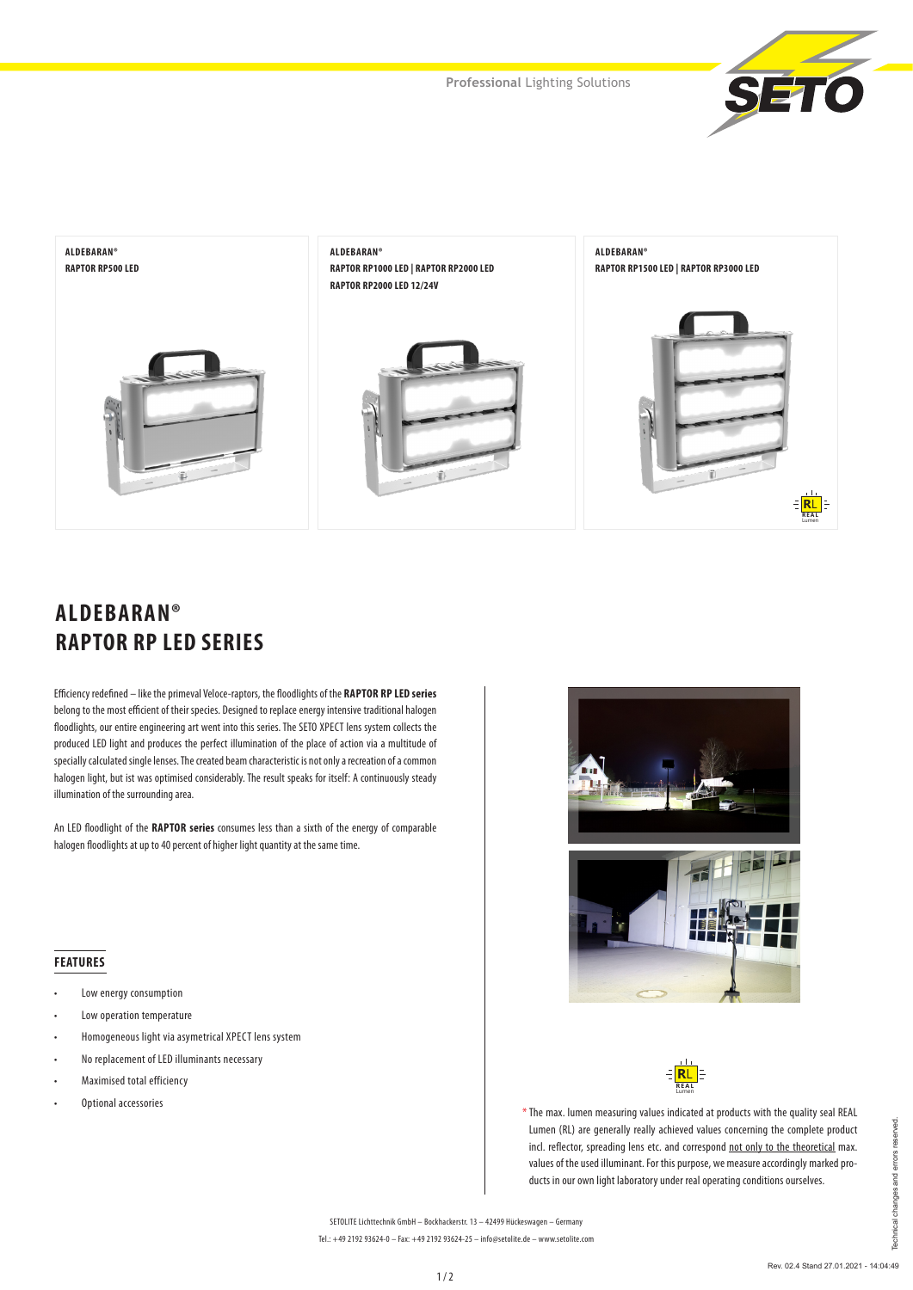



# **ALDEBARAN® RAPTOR RP LED SERIES**

Efficiency redefined – like the primeval Veloce-raptors, the floodlights of the **RAPTOR RP LED series** belong to the most efficient of their species. Designed to replace energy intensive traditional halogen floodlights, our entire engineering art went into this series. The SETO XPECT lens system collects the produced LED light and produces the perfect illumination of the place of action via a multitude of specially calculated single lenses. The created beam characteristic is not only a recreation of a common halogen light, but ist was optimised considerably. The result speaks for itself: A continuously steady illumination of the surrounding area.

An LED floodlight of the **RAPTOR series** consumes less than a sixth of the energy of comparable halogen floodlights at up to 40 percent of higher light quantity at the same time.

# **FEATURES**

- Low energy consumption
- Low operation temperature
- Homogeneous light via asymetrical XPECT lens system
- No replacement of LED illuminants necessary
- Maximised total efficiency
- 





• Optional accessories \*The max. lumen measuring values indicated at products with the quality seal REAL Lumen (RL) are generally really achieved values concerning the complete product incl. reflector, spreading lens etc. and correspond not only to the theoretical max. values of the used illuminant. For this purpose, we measure accordingly marked products in our own light laboratory under real operating conditions ourselves.